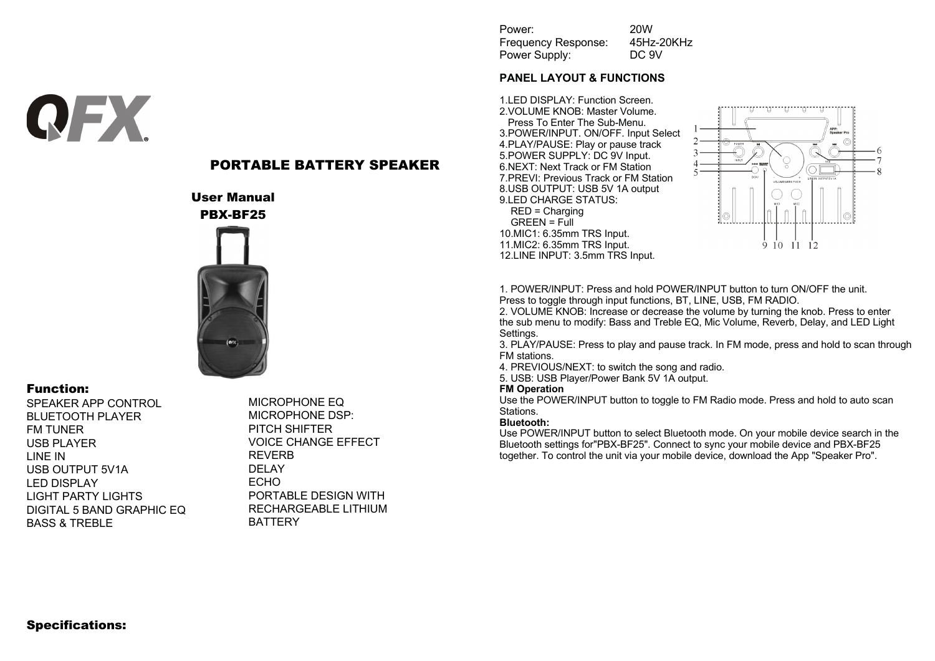Power: 20W Frequency Response: 45Hz-20KHz Power Supply: DC 9V

### **PANEL LAYOUT & FUNCTIONS**

1.LED DISPLAY: Function Screen. 2.VOLUME KNOB: Master Volume. Press To Enter The Sub-Menu. 3.POWER/INPUT. ON/OFF. Input Select 4.PLAY/PAUSE: Play or pause track 5.POWER SUPPLY: DC 9V Input. 6.NEXT: Next Track or FM Station 7.PREVI: Previous Track or FM Station 8.USB OUTPUT: USB 5V 1A output 9.LED CHARGE STATUS: RED = Charging  $GREFN = Full$ 10.MIC1: 6.35mm TRS Input. 11.MIC2: 6.35mm TRS Input. 12.LINE INPUT: 3.5mm TRS Input.



1. POWER/INPUT: Press and hold POWER/INPUT button to turn ON/OFF the unit. Press to toggle through input functions, BT, LINE, USB, FM RADIO.

2. VOLUME KNOB: Increase or decrease the volume by turning the knob. Press to enter the sub menu to modify: Bass and Treble EQ, Mic Volume, Reverb, Delay, and LED Light Settings.

3. PLAY/PAUSE: Press to play and pause track. In FM mode, press and hold to scan through FM stations.

4. PREVIOUS/NEXT: to switch the song and radio.

5. USB: USB Player/Power Bank 5V 1A output.

#### **FM Operation**

Use the POWER/INPUT button to toggle to FM Radio mode. Press and hold to auto scan Stations.

#### **Bluetooth:**

Use POWER/INPUT button to select Bluetooth mode. On your mobile device search in the Bluetooth settings for"PBX-BF25". Connect to sync your mobile device and PBX-BF25 together. To control the unit via your mobile device, download the App "Speaker Pro".

# PORTABLE BATTERY SPEAKER

User Manual PBX-BF25



## Function:

**QFX** 

SPEAKER APP CONTROL BLUETOOTH PLAYER FM TUNER USB PLAYER LINE IN USB OUTPUT 5V1A LED DISPLAY LIGHT PARTY LIGHTS DIGITAL 5 BAND GRAPHIC EQ BASS & TREBLE

MICROPHONE EQ MICROPHONE DSP: PITCH SHIFTER VOICE CHANGE EFFECT REVERB DELAY ECHO PORTABLE DESIGN WITH RECHARGEABLE LITHIUM BATTERY

## Specifications: